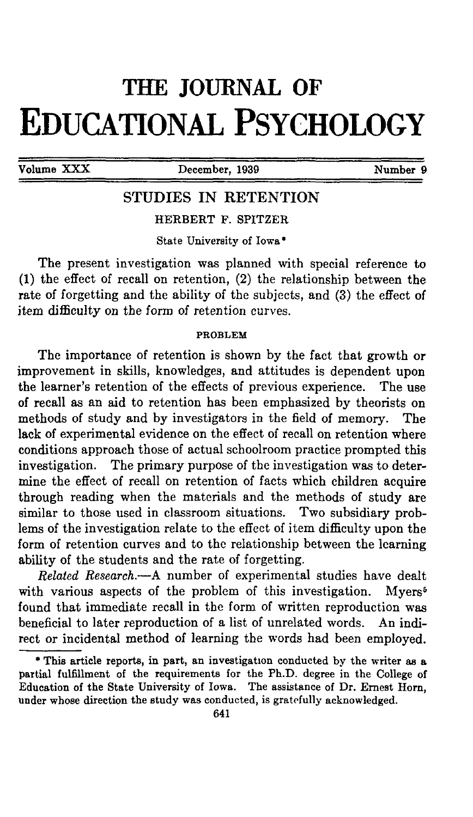# **THE JOURNAL OF** EDUCATIONAL PSYCHOLOGY

**Volume XXX** December, **1939 Number 9**

# STUDIES IN RETENTION

HERBERT F. SPITZER

State University of Iowa\*

The present investigation was planned with special reference to (1) the effect of recall on retention, (2) the relationship between the rate of forgetting and the ability of the subjects, and (3) the effect of item difficulty on the form of retention curves.

#### **PROBLEM**

The importance of retention is shown by the fact that growth or improvement in skills, knowledges, and attitudes is dependent upon the learner's retention of the effects of previous experience. The use of recall as an aid to retention has been emphasized by theorists on methods of study and by investigators in the field of memory. The lack of experimental evidence on the effect of recall on retention where conditions approach those of actual schoolroom practice prompted this investigation. The primary purpose of the investigation was to determine the effect of recall on retention of facts which children acquire through reading when the materials and the methods of study are similar to those used in classroom situations. Two subsidiary problems of the investigation relate to the effect of item difficulty upon the form of retention curves and to the relationship between the learning ability of the students and the rate of forgetting.

*Related Research.*—A number of experimental studies have dealt with various aspects of the problem of this investigation. Myers<sup>5</sup> found that immediate recall in the form of written reproduction was beneficial to later reproduction of a list of unrelated words. An indirect or incidental method of learning the words had been employed.

<sup>\*</sup> This article reports, in part, an investigation conducted by the writer as a partial fulfillment of the requirements for the Ph.D. degree in the College of Education of the State University of Iowa. The assistance of Dr. Ernest Horn, under whose direction the study was conducted, is gratefully acknowledged.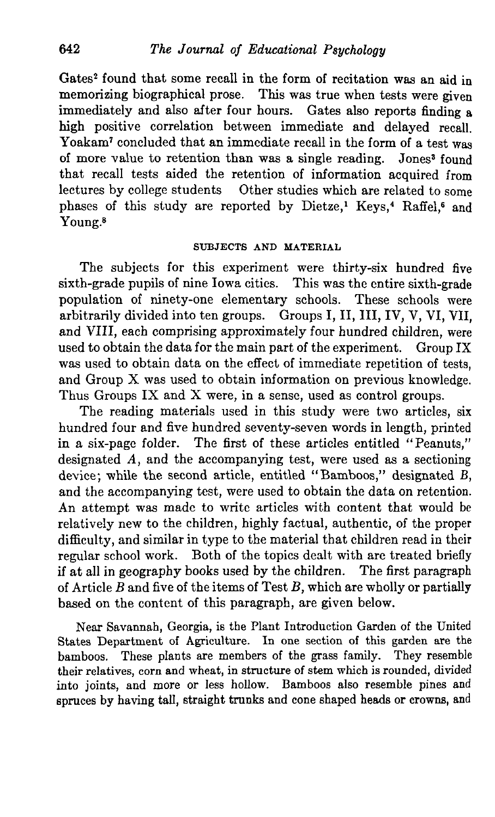Gates<sup>2</sup> found that some recall in the form of recitation was an aid in memorizing biographical prose. This was true when tests were given immediately and also after four hours. Gates also reports finding a high positive correlation between immediate and delayed recall. Yoakam<sup>7</sup> concluded that an immediate recall in the form of a test was of more value to retention than was a single reading. Jones<sup>3</sup> found that recall tests aided the retention of information acquired from lectures by college students Other studies which are related to some phases of this study are reported by Dietze,<sup>1</sup> Keys,<sup>4</sup> Raffel,<sup>6</sup> and Young.<sup>8</sup>

#### SUBJECTS AND MATERIAL

The subjects for this experiment were thirty-six hundred five sixth-grade pupils of nine Iowa cities. This was the entire sixth-grade population of ninety-one elementary schools. These schools were arbitrarily divided into ten groups. Groups I, II, III, IV, V, VI, VII, and VIII, each comprising approximately four hundred children, were used to obtain the data for the main part of the experiment. Group IX was used to obtain data on the effect of immediate repetition of tests, and Group X was used to obtain information on previous knowledge. Thus Groups IX and X were, in a sense, used as control groups.

The reading materials used in this study were two articles, six hundred four and five hundred seventy-seven words in length, printed in a six-page folder. The first of these articles entitled "Peanuts," designated *A,* and the accompanying test, were used as a sectioning device; while the second article, entitled "Bamboos," designated *B,* and the accompanying test, were used to obtain the data on retention. An attempt was made to write articles with content that would be relatively new to the children, highly factual, authentic, of the proper difficulty, and similar in type to the material that children read in their regular school work. Both of the topics dealt with are treated briefly if at all in geography books used by the children. The first paragraph of Article *B* and five of the items of Test *B,* which are wholly or partially based on the content of this paragraph, are given below.

Near Savannah, Georgia, is the Plant Introduction Garden of the United States Department of Agriculture. In one section of this garden are the bamboos. These plants are members of the grass family. They resemble their relatives, corn and wheat, in structure of stem which is rounded, divided into joints, and more or less hollow. Bamboos also resemble pines and spruces by having tall, straight trunks and cone shaped heads or crowns, and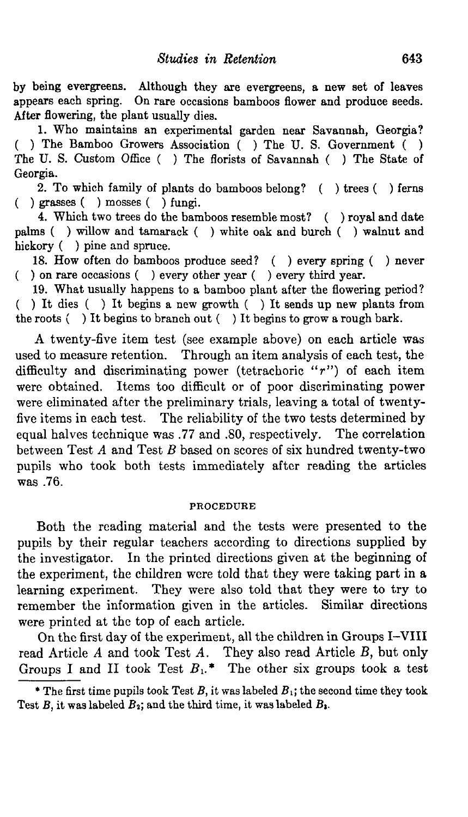by being evergreens. Although they are evergreens, a new set of leaves appears each spring. On rare occasions bamboos flower and produce seeds. After flowering, the plant usually dies.

1. Who maintains an experimental garden near Savannah, Georgia? ( ) The Bamboo Growers Association ( ) The U. S. Government ( ) The U. S. Custom Office ( ) The florists of Savannah ( ) The State of Georgia.

2. To which family of plants do bamboos belong? ( ) trees ( ) ferns ( ) grasses ( ) mosses ( ) fungi.

4. Which two trees do the bamboos resemble most? ( ) royal and date palms ( ) willow and tamarack ( ) white oak and burch ( ) walnut and hickory () pine and spruce.

18. How often do bamboos produce seed? ( ) every spring ( ) never ( ) on rare occasions ( ) every other year ( ) every third year.

19. What usually happens to a bamboo plant after the flowering period? ( ) It dies ( ) It begins a new growth ( ) It sends up new plants from the roots ( ) It begins to branch out ( ) It begins to grow a rough bark.

A twenty-five item test (see example above) on each article was used to measure retention. Through an item analysis of each test, the difficulty and discriminating power (tetrachoric " $r$ ") of each item were obtained. Items too difficult or of poor discriminating power were eliminated after the preliminary trials, leaving a total of twentyfive items in each test. The reliability of the two tests determined by equal halves technique was .77 and .80, respectively. The correlation between Test *A* and Test *B* based on scores of six hundred twenty-two pupils who took both tests immediately after reading the articles was .76.

#### PROCEDURE

Both the reading material and the tests were presented to the pupils by their regular teachers according to directions supplied by the investigator. In the printed directions given at the beginning of the experiment, the children were told that they were taking part in a learning experiment. They were also told that they were to try to remember the information given in the articles. Similar directions were printed at the top of each article.

On the first day of the experiment, all the children in Groups I-VIII read Article *A* and took Test *A.* They also read Article *B,* but only Groups I and II took Test  $B_1$ <sup>\*</sup> The other six groups took a test

<sup>\*</sup> The first time pupils took Test  $B$ , it was labeled  $B_1$ ; the second time they took Test  $B$ , it was labeled  $B_2$ ; and the third time, it was labeled  $B_3$ .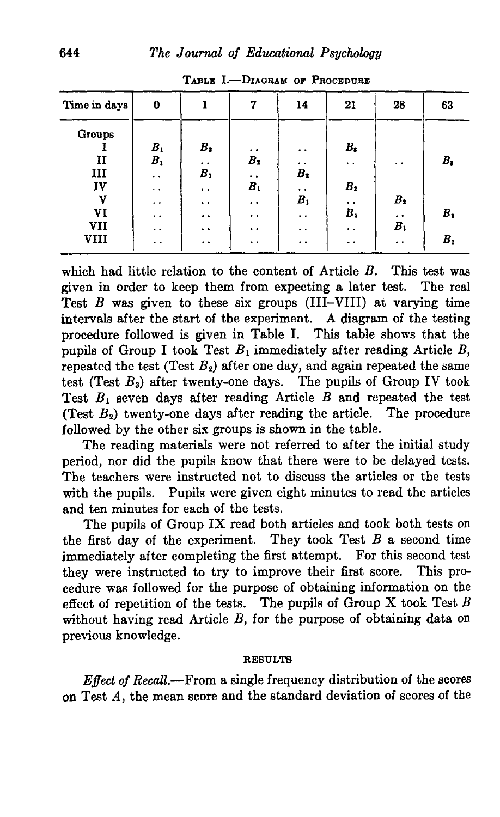| Time in days | 0                    |                      | 7                    | 14                   | 21                   | 28                   | 63          |
|--------------|----------------------|----------------------|----------------------|----------------------|----------------------|----------------------|-------------|
| Groups       |                      |                      |                      |                      |                      |                      |             |
|              | $B_{1}$              | $B_2$                | . .                  | . .                  | $B_{1}$              |                      |             |
| $\mathbf{I}$ | $B_1$                | $\bullet\ \bullet$   | $B_2$                | . .                  | $\ddot{\phantom{0}}$ | $\ddot{\phantom{1}}$ | $B_{\rm 3}$ |
| Ш            | $\ddot{\phantom{0}}$ | B <sub>1</sub>       | $\ddot{\phantom{1}}$ | $B_2$                |                      |                      |             |
| IV           | . .                  | $\ddot{\phantom{0}}$ | B <sub>1</sub>       | $\ddot{\phantom{0}}$ | B <sub>2</sub>       |                      |             |
| V            | $\ddot{\phantom{0}}$ | . .                  | $\ddot{\phantom{1}}$ | B <sub>1</sub>       | $\ddot{\phantom{0}}$ | $B_2$                |             |
| VI           | $\cdot$ .            | . .                  | $\ddot{\phantom{0}}$ | . .                  | $B_1$                | $\cdot$ .            | $B_2$       |
| VII          | $\ddot{\phantom{1}}$ | . .                  | $\ddot{\phantom{0}}$ | $\ddot{\phantom{1}}$ | $\ddot{\phantom{a}}$ | B <sub>1</sub>       |             |
| <b>VIII</b>  | $\ddot{\phantom{1}}$ | $\ddot{\phantom{1}}$ | $\ddot{\phantom{0}}$ | $\ddot{\phantom{1}}$ | $\cdot$ .            | $\ddot{\phantom{0}}$ | $B_{1}$     |

TABLE I.—DIAGRAM OP PROCEDUBB

which had little relation to the content of Article *B.* This test was given in order to keep them from expecting a later test. The real Test *B* was given to these six groups (III-VIII) at varying time intervals after the start of the experiment. A diagram of the testing procedure followed is given in Table I. This table shows that the pupils of Group I took Test *Bi* immediately after reading Article *B,* repeated the test (Test  $B_2$ ) after one day, and again repeated the same test (Test  $B_3$ ) after twenty-one days. The pupils of Group IV took Test  $B_1$  seven days after reading Article  $B$  and repeated the test (Test  $B_2$ ) twenty-one days after reading the article. The procedure followed by the other six groups is shown in the table.

The reading materials were not referred to after the initial study period, nor did the pupils know that there were to be delayed tests. The teachers were instructed not to discuss the articles or the tests with the pupils. Pupils were given eight minutes to read the articles and ten minutes for each of the tests.

The pupils of Group IX read both articles and took both tests on the first day of the experiment. They took Test *B* a second time immediately after completing the first attempt. For this second test they were instructed to try to improve their first score. This procedure was followed for the purpose of obtaining information on the effect of repetition of the tests. The pupils of Group X took Test *B* without having read Article *B,* for the purpose of obtaining data on previous knowledge.

#### **RESULTS**

*Effect of Recall.*—From a single frequency distribution of the scores on Test *A,* the mean score and the standard deviation of scores of the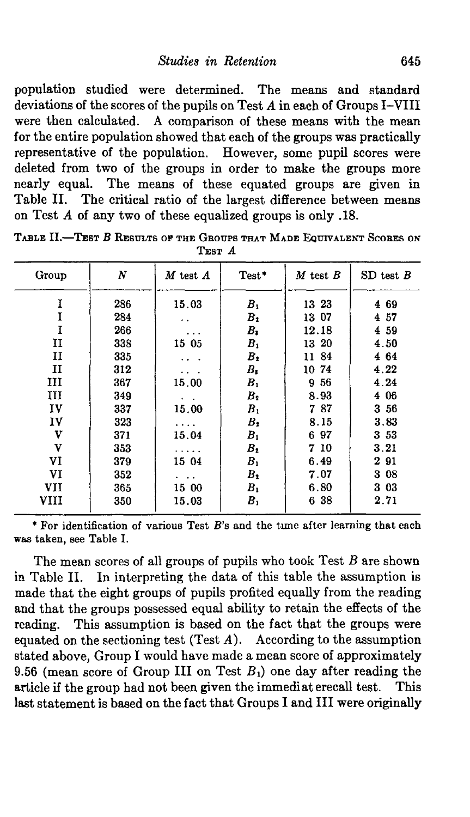population studied were determined. The means and standard deviations of the scores of the pupils on Test *A* in each of Groups I-VIII were then calculated. A comparison of these means with the mean for the entire population showed that each of the groups was practically representative of the population. However, some pupil scores were deleted from two of the groups in order to make the groups more nearly equal. The means of these equated groups are given in Table II. The critical ratio of the largest difference between means on Test *A* of any two of these equalized groups is only .18.

| N   | $M$ test $A$ | $Test*$          | $M$ test $B$   | $SD$ test $B$                         |
|-----|--------------|------------------|----------------|---------------------------------------|
| 286 | 15.03        | $B_{1}$          | 13 23          | 469                                   |
| 284 | . .          | $B_2$            | 13 07          | 4 57                                  |
| 266 |              | $B_{1}$          | 12.18          | 4 59                                  |
| 338 | 15 05        |                  | 13 20          | 4.50                                  |
| 335 |              | $B_2$            | 11 84          | 4 64                                  |
| 312 |              | $B_{\mathbf{z}}$ | 10 74          | 4.22                                  |
| 367 | 15.00        | B <sub>1</sub>   | 9 56           | 4.24                                  |
| 349 |              | B <sub>2</sub>   | 8.93           | 4 06                                  |
| 337 | 15.00        | B <sub>1</sub>   | 787            | $3\,56$                               |
| 323 | .            | $B_{2}$          | 8.15           | 3.83                                  |
| 371 | 15.04        | B <sub>1</sub>   | 697            | $3\,53$                               |
| 353 |              | $B_{2}$          | 7 10           | 3.21                                  |
| 379 | 15 04        | B <sub>1</sub>   | 6.49           | 291                                   |
| 352 |              | $B_2$            | 7.07           | 3 08                                  |
| 365 | 15 00        | $B_1$            | 6.80           | 303                                   |
|     |              |                  |                | 2.71                                  |
|     |              |                  | B <sub>1</sub> | 638<br>B <sub>1</sub><br>350<br>15.03 |

**TABLE II.—TEST** *B* **RESULTS OF THE GROUPS THAT MADE EQUIVALENT SCORES ON TEST** *A*

\* For identification of various Test B's and the tune after learning that each was taken, see Table I.

The mean scores of all groups of pupils who took Test *B* are shown in Table II. In interpreting the data of this table the assumption is made that the eight groups of pupils profited equally from the reading and that the groups possessed equal ability to retain the effects of the reading. This assumption is based on the fact that the groups were equated on the sectioning test (Test *A).* According to the assumption stated above, Group I would have made a mean score of approximately 9.56 (mean score of Group III on Test  $B_1$ ) one day after reading the article if the group had not been given the immediat erecall test. This last statement is based on the fact that Groups I and III were originally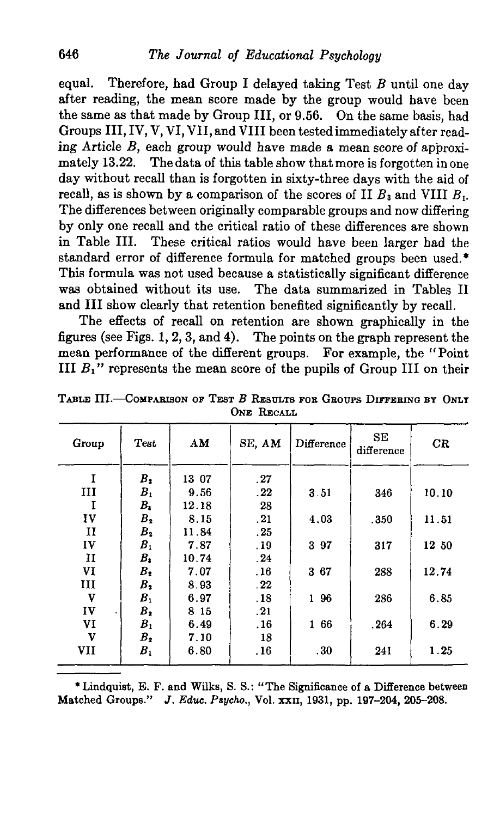equal. Therefore, had Group I delayed taking Test *B* until one day after reading, the mean score made by the group would have been the same as that made by Group III, or 9.56. On the same basis, had Groups III, IV, V, VI, VII, and VIII been tested immediately after reading Article *B,* each group would have made a mean score of approximately 13.22. The data of this table show that more is forgotten in one day without recall than is forgotten in sixty-three days with the aid of recall, as is shown by a comparison of the scores of II *B3* and VIII *B<sup>t</sup> .* The differences between originally comparable groups and now differing by only one recall and the critical ratio of these differences are shown in Table III. These critical ratios would have been larger had the standard error of difference formula for matched groups been used.\* This formula was not used because a statistically significant difference was obtained without its use. The data summarized in Tables II and III show clearly that retention benefited significantly by recall.

The effects of recall on retention are shown graphically in the figures (see Figs.  $1, 2, 3$ , and  $4$ ). The points on the graph represent the mean performance of the different groups. For example, the "Point III  $B_1$ <sup>"</sup> represents the mean score of the pupils of Group III on their

| Group        | Test           | AM    | SE, AM | Difference | SE<br>difference | CR    |
|--------------|----------------|-------|--------|------------|------------------|-------|
| I            | $B_{2}$        | 13 07 | .27    |            |                  |       |
| Ш            | $B_{1}$        | 9.56  | .22    | 3.51       | 346              | 10.10 |
| I            | $B_{1}$        | 12.18 | 28     |            |                  |       |
| IV           | $B_{2}$        | 8.15  | .21    | 4.03       | .350             | 11.51 |
| п            | B <sub>2</sub> | 11.84 | .25    |            |                  |       |
| IV           | $B_{1}$        | 7.87  | .19    | 3 97       | 317              | 12 50 |
| $\mathbf{I}$ | $B_{\bullet}$  | 10.74 | .24    |            |                  |       |
| VI           | $B_{1}$        | 7.07  | .16    | 367        | 288              | 12.74 |
| Ш            | $B_{2}$        | 8.93  | .22    |            |                  |       |
| v            | $B_{1}$        | 6.97  | .18    | 1 96       | 286              | 6.85  |
| IV           | $B_{2}$        | 8 15  | .21    |            |                  |       |
| VI           | B <sub>1</sub> | 6.49  | .16    | 1 66       | .264             | 6.29  |
| v            | $B_{2}$        | 7.10  | 18     |            |                  |       |
| VII          | $B_{1}$        | 6.80  | .16    | .30        | 241              | 1.25  |

TABLE III.—COMPARISON OP TEST *B* RESULTS FOB GROUPS DIFFERING BY ONLT ONE RECALL

\* Lindquist, E. F. and Wilks, S. S.: "The Significance of a Difference between Matched Groups." *J. Educ. Psycho.,* Vol. xxn, 1931, pp. 197-204, 205-208.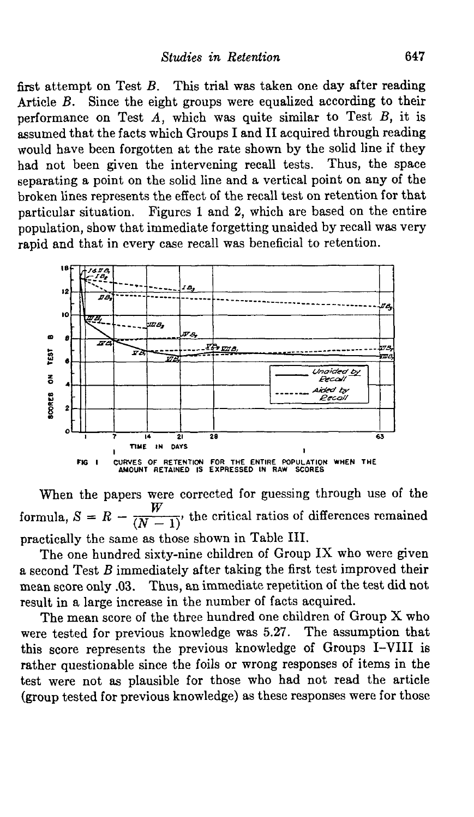first attempt on Test *B.* This trial was taken one day after reading Article *B.* Since the eight groups were equalized according to their performance on Test *A,* which was quite similar to Test *B,* it is assumed that the facts which Groups I and II acquired through reading would have been forgotten at the rate shown by the solid line if they had not been given the intervening recall tests. Thus, the space separating a point on the solid line and a vertical point on any of the broken lines represents the effect of the recall test on retention for that particular situation. Figures 1 and 2, which are based on the entire population, show that immediate forgetting unaided by recall was very rapid and that in every case recall was beneficial to retention.



When the papers were corrected for guessing through use of the formula,  $S = R - \frac{W}{(N-1)}$  the critical ratios of differences remained practically the same as those shown in Table III.

The one hundred sixty-nine children of Group IX who were given a second Test *B* immediately after taking the first test improved their mean score only .03. Thus, an immediate repetition of the test did not result in a large increase in the number of facts acquired.

The mean score of the three hundred one children of Group X who were tested for previous knowledge was 5.27. The assumption that this score represents the previous knowledge of Groups I-VIII is rather questionable since the foils or wrong responses of items in the test were not as plausible for those who had not read the article (group tested for previous knowledge) as these responses were for those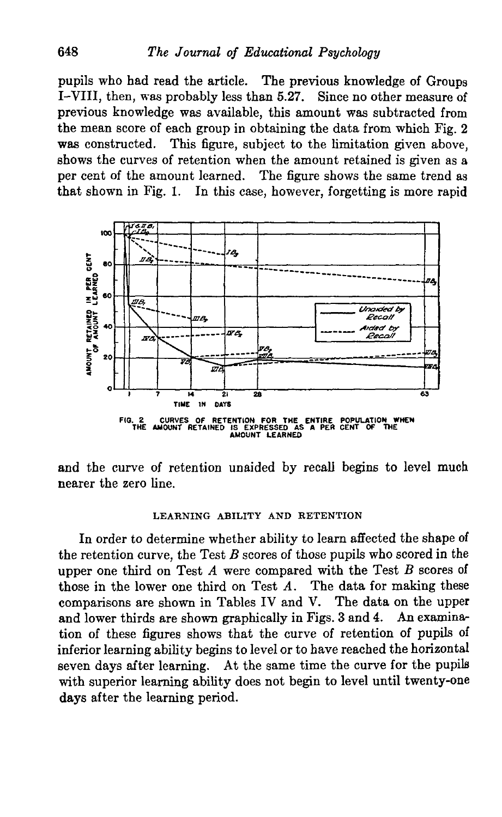pupils who had read the article. The previous knowledge of Groups I-VIII, then, was probably less than 5.27. Since no other measure of previous knowledge was available, this amount was subtracted from the mean score of each group in obtaining the data from which Fig. 2 was constructed. This figure, subject to the limitation given above, shows the curves of retention when the amount retained is given as a per cent of the amount learned. The figure shows the same trend as that shown in Fig. 1. In this case, however, forgetting is more rapid



and the curve of retention unaided by recall begins to level much nearer the zero line.

#### LEARNING ABILITY AND RETENTION

In order to determine whether ability to learn affected the shape of the retention curve, the Test *B* scores of those pupils who scored in the upper one third on Test *A* were compared with the Test *B* scores of those in the lower one third on Test *A.* The data for making these comparisons are shown in Tables IV and V. The data on the upper and lower thirds are shown graphically in Figs. 3 and 4. An examination of these figures shows that the curve of retention of pupils of inferior learning ability begins to level or to have reached the horizontal seven days after learning. At the same time the curve for the pupils with superior learning ability does not begin to level until twenty-one days after the learning period.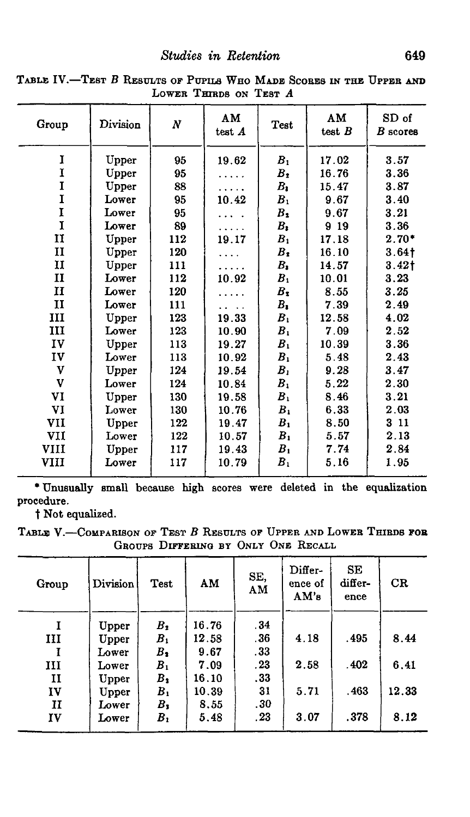*Studies in Retention* 649

| Group        | Division | N   | AM<br>test A | Test           | AM<br>test $B$ | SD of<br>$B$ scores |
|--------------|----------|-----|--------------|----------------|----------------|---------------------|
| 1            | Upper    | 95  | 19.62        | B <sub>1</sub> | 17.02          | 3.57                |
| Ĭ            | Upper    | 95  |              | $B_2$          | 16.76          | 3.36                |
| I            | Upper    | 88  |              | $B_{1}$        | 15.47          | 3.87                |
| I            | Lower    | 95  | 10.42        | $B_{1}$        | 9.67           | 3.40                |
| I            | Lower    | 95  |              | $B_{2}$        | 9.67           | 3.21                |
| I            | Lower    | 89  |              | $B_{1}$        | 9 19           | 3.36                |
| $\mathbf{I}$ | Upper    | 112 | 19.17        | B <sub>1</sub> | 17.18          | $2.70*$             |
| $\mathbf{I}$ | Upper    | 120 |              | $B_1$          | 16.10          | 3.64 <sub>1</sub>   |
| п            | Upper    | 111 |              | $B_{\bullet}$  | 14.57          | 3.42 <sub>1</sub>   |
| п            | Lower    | 112 | 10.92        | B <sub>1</sub> | 10.01          | 3.23                |
| $\mathbf{I}$ | Lower    | 120 |              | $B_1$          | 8.55           | 3.25                |
| 11           | Lower    | 111 |              | $B_{1}$        | 7.39           | 2.49                |
| III          | Upper    | 123 | 19.33        | B <sub>1</sub> | 12.58          | 4.02                |
| ш            | Lower    | 123 | 10.90        | $B_{1}$        | 7.09           | 2.52                |
| IV           | Upper    | 113 | 19.27        | $B_{1}$        | 10.39          | 3.36                |
| IV           | Lower    | 113 | 10.92        | $B_{1}$        | 5.48           | 2.43                |
| V            | Upper    | 124 | 19.54        | B <sub>1</sub> | 9.28           | 3.47                |
| V            | Lower    | 124 | 10.84        | $B_1$          | 5.22           | 2.30                |
| VI           | Upper    | 130 | 19.58        | $B_{1}$        | 8.46           | 3.21                |
| VI           | Lower    | 130 | 10.76        | $B_{1}$        | 6.33           | 2.03                |
| VII          | Upper    | 122 | 19.47        | B <sub>1</sub> | 8.50           | 3 11                |
| VII          | Lower    | 122 | 10.57        | B <sub>1</sub> | 5.57           | 2.13                |
| <b>VIII</b>  | Upper    | 117 | 19.43        | B <sub>1</sub> | 7.74           | 2.84                |
| VIII         | Lower    | 117 | 10.79        | $B_{1}$        | 5.16           | 1.95                |
|              |          |     |              |                |                |                     |

**TABLE IV.—TEST B RESULTS OF PUPILS WHO MADE SCORES IN THE UPPER AND LOWER THIRDS ON TEST** *A*

\* Unusually small because high scores were deleted in the equalization procedure.

t Not equalized.

TABLE V.—COMPARISON or TEST B RESULTS OF UPPER AND LOWER THIRDS **FOB** GROUPS DIFFERING BY ONLY ONE RECALL

| Group        | Division | Test           | AM    | SE,<br>AМ | Differ-<br>ence of<br>AM's | SE<br>differ-<br>ence | CR    |
|--------------|----------|----------------|-------|-----------|----------------------------|-----------------------|-------|
|              | Upper    | $B_2$          | 16.76 | .34       |                            |                       |       |
| ш            | Upper    | B <sub>1</sub> | 12.58 | . 36      | 4.18                       | .495                  | 8.44  |
|              | Lower    | $B_{2}$        | 9.67  | . 33      |                            |                       |       |
| ш            | Lower    | B <sub>1</sub> | 7.09  | .23       | 2.58                       | .402                  | 6.41  |
| $\mathbf{I}$ | Upper    | $B_{2}$        | 16.10 | . 33      |                            |                       |       |
| IV           | Upper    | B <sub>1</sub> | 10.39 | 31        | 5.71                       | . 463                 | 12.33 |
| п            | Lower    | В,             | 8.55  | .30       |                            |                       |       |
| IV           | Lower    | B <sub>1</sub> | 5.48  | .23       | 3.07                       | .378                  | 8.12  |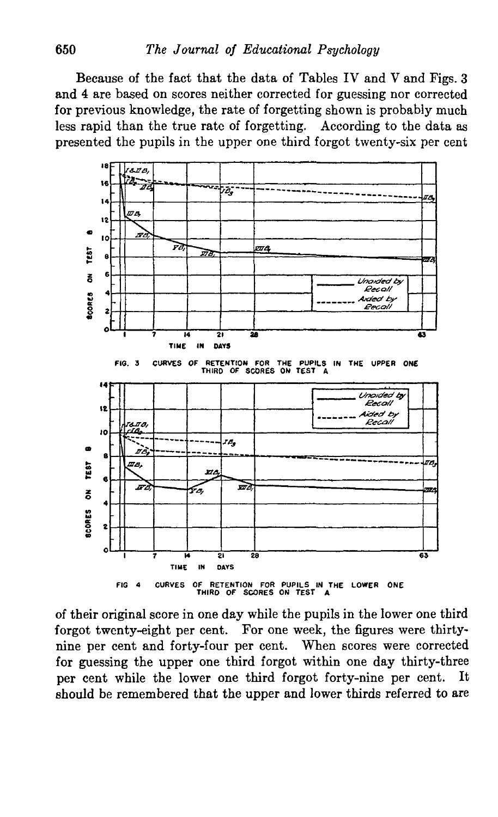Because of the fact that the data of Tables IV and V and Figs. 3 and 4 are based on scores neither corrected for guessing nor corrected for previous knowledge, the rate of forgetting shown is probably much less rapid than the true rate of forgetting. According to the data as presented the pupils in the upper one third forgot twenty-six per cent



of their original score in one day while the pupils in the lower one third forgot twenty-eight per cent. For one week, the figures were thirtynine per cent and forty-four per cent. When scores were corrected for guessing the upper one third forgot within one day thirty-three per cent while the lower one third forgot forty-nine per cent. It should be remembered that the upper and lower thirds referred to are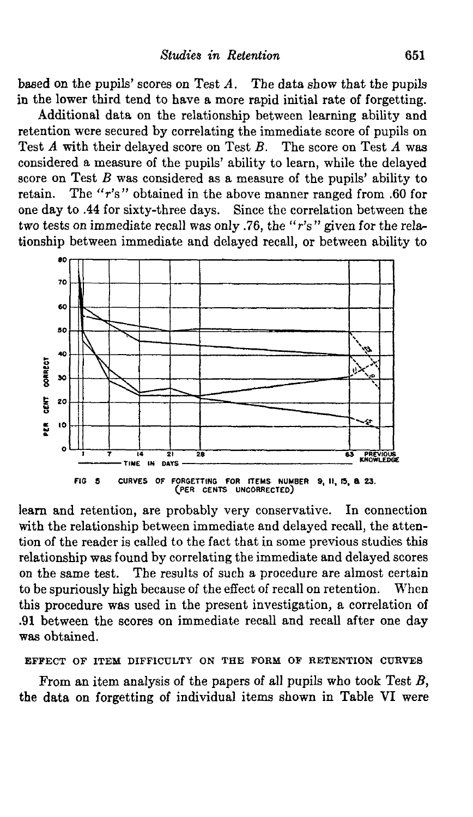based on the pupils' scores on Test *A.* The data show that the pupils in the lower third tend to have a more rapid initial rate of forgetting.

Additional data on the relationship between learning ability and retention were secured by correlating the immediate score of pupils on Test *A* with their delayed score on Test *B.* The score on Test *A* was considered a measure of the pupils' ability to learn, while the delayed score on Test *B* was considered as a measure of the pupils' ability to retain. The "r's " obtained in the above manner ranged from .60 for one day to .44 for sixty-three days. Since the correlation between the two tests on immediate recall was only .76, the "r's " given for the relationship between immediate and delayed recall, or between ability to



learn and retention, are probably very conservative. In connection with the relationship between immediate and delayed recall, the attention of the reader is called to the fact that in some previous studies this relationship was found by correlating the immediate and delayed scores on the same test. The results of such a procedure are almost certain to be spuriously high because of the effect of recall on retention. When this procedure was used in the present investigation, a correlation of .91 between the scores on immediate recall and recall after one day was obtained.

### **EFFECT OF ITEM DIFFICULTY ON THE FORM OF RETENTION CURVES**

From an item analysis of the papers of all pupils who took Test *B,* the data on forgetting of individual items shown in Table VI were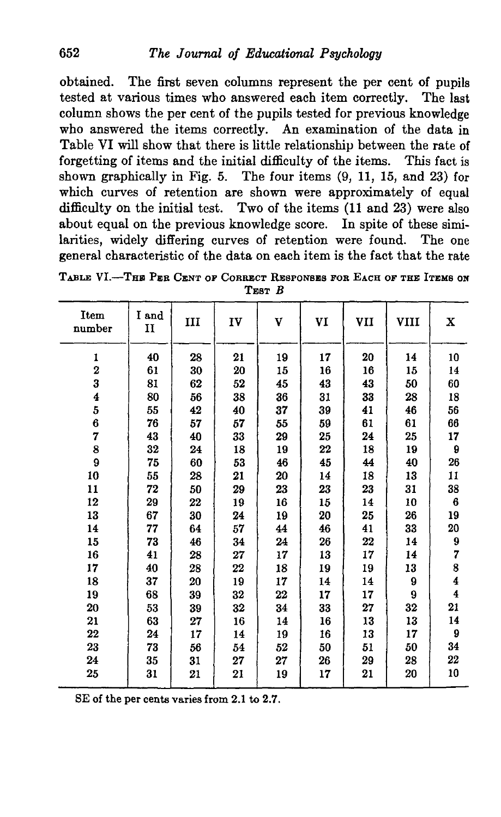obtained. The first seven columns represent the per cent of pupils tested at various times who answered each item correctly. The last column shows the per cent of the pupils tested for previous knowledge who answered the items correctly. An examination of the data in Table VI will show that there is little relationship between the rate of forgetting of items and the initial difficulty of the items. This fact is shown graphically in Fig. 5. The four items (9, 11, 15, and 23) for which curves of retention are shown were approximately of equal difficulty on the initial test. Two of the items (11 and 23) were also about equal on the previous knowledge score. In spite of these similarities, widely differing curves of retention were found. The one general characteristic of the data on each item is the fact that the rate

| Item<br>number          | I and<br>п | III | IV | V  | VI | VII | VIII | $\mathbf x$             |
|-------------------------|------------|-----|----|----|----|-----|------|-------------------------|
| 1                       | 40         | 28  | 21 | 19 | 17 | 20  | 14   | 10                      |
| $\overline{\mathbf{2}}$ | 61         | 30  | 20 | 15 | 16 | 16  | 15   | 14                      |
| 3                       | 81         | 62  | 52 | 45 | 43 | 43  | 50   | 60                      |
| $\overline{\mathbf{4}}$ | 80         | 56  | 38 | 36 | 31 | 33  | 28   | 18                      |
| 5                       | 55         | 42  | 40 | 37 | 39 | 41  | 46   | 56                      |
| 6                       | 76         | 57  | 57 | 55 | 59 | 61  | 61   | 66                      |
| 7                       | 43         | 40  | 33 | 29 | 25 | 24  | 25   | 17                      |
| 8                       | 32         | 24  | 18 | 19 | 22 | 18  | 19   | 9                       |
| 9                       | 75         | 60  | 53 | 46 | 45 | 44  | 40   | 26                      |
| 10                      | 55         | 28  | 21 | 20 | 14 | 18  | 13   | 11                      |
| 11                      | 72         | 50  | 29 | 23 | 23 | 23  | 31   | 38                      |
| 12                      | 29         | 22  | 19 | 16 | 15 | 14  | 10   | 6                       |
| 13                      | 67         | 30  | 24 | 19 | 20 | 25  | 26   | 19                      |
| 14                      | 77         | 64  | 57 | 44 | 46 | 41  | 33   | 20                      |
| 15                      | 73         | 46  | 34 | 24 | 26 | 22  | 14   | $\boldsymbol{9}$        |
| 16                      | 41         | 28  | 27 | 17 | 13 | 17  | 14   | 7                       |
| 17                      | 40         | 28  | 22 | 18 | 19 | 19  | 13   | 8                       |
| 18                      | 37         | 20  | 19 | 17 | 14 | 14  | 9    | $\overline{\mathbf{4}}$ |
| 19                      | 68         | 39  | 32 | 22 | 17 | 17  | 9    | $\overline{\mathbf{4}}$ |
| 20                      | 53         | 39  | 32 | 34 | 33 | 27  | 32   | 21                      |
| 21                      | 63         | 27  | 16 | 14 | 16 | 13  | 13   | 14                      |
| $22\,$                  | 24         | 17  | 14 | 19 | 16 | 13  | 17   | 9                       |
| 23                      | 73         | 56  | 54 | 52 | 50 | 51  | 50   | 34                      |
| 24                      | 35         | 31  | 27 | 27 | 26 | 29  | 28   | 22                      |
| 25                      | 31         | 21  | 21 | 19 | 17 | 21  | 20   | 10                      |
|                         |            |     |    |    |    |     |      |                         |

TABLE VI.—THB PER CENT OP CORRECT RESPONSES FOR EACH OF THE ITEMS ON TEST *B*

SE of the per cents varies from 2.1 to 2.7.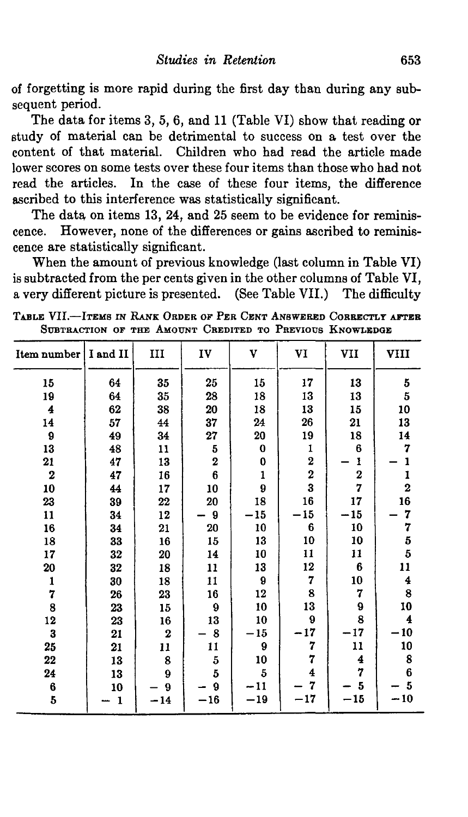of forgetting is more rapid during the first day than during any subsequent period.

The data for items 3, 5, 6, and 11 (Table VI) show that reading or study of material can be detrimental to success on a test over the content of that material. Children who had read the article made lower scores on some tests over these four items than those who had not read the articles. In the case of these four items, the difference ascribed to this interference was statistically significant.

The data on items 13, 24, and 25 seem to be evidence for reminiscence. However, none of the differences or gains ascribed to reminiscence are statistically significant.

When the amount of previous knowledge (last column in Table VI) is subtracted from the per cents given in the other columns of Table VI, a very different picture is presented. (See Table VII.) The difficulty

**TABLE VII.—ITEMS IN RANK ORDER OF PER CENT ANSWERED CORRECTLY AFTER** SUBTRACTION OF THE AMOUNT CREDITED TO PREVIOUS KNOWLEDGE

| Item number      | I and II     | III     | IV                      | V                | VI               | VII                     | VIII                                       |
|------------------|--------------|---------|-------------------------|------------------|------------------|-------------------------|--------------------------------------------|
| 15               | 64           | 35      | 25                      | 15               | 17               | 13                      | 5                                          |
| 19               | 64           | $35\,$  | 28                      | 18               | 13               | 13                      | 5                                          |
| 4                | 62           | 38      | 20                      | 18               | 13               | 15                      | 10                                         |
| 14               | 57           | 44      | 37                      | 24               | 26               | 21                      | 13                                         |
| $\pmb{9}$        | 49           | 34      | 27                      | 20               | 19               | 18                      | 14                                         |
| 13               | 48           | 11      | $\bf 5$                 | $\bf{0}$         | $\frac{1}{2}$    | $6\phantom{1}$          | 7                                          |
| 21               | 47           | 13      | $\overline{\mathbf{2}}$ | $\bf{0}$         |                  | 1                       | 1                                          |
| $\boldsymbol{2}$ | 47           | 16      | 6                       | $\mathbf{1}$     | $\bf{2}$         | $\overline{\mathbf{2}}$ | 1                                          |
| 10               | 44           | 17      | 10                      | 9                | 3                | 7                       | $\overline{\mathbf{2}}$                    |
| 23               | 39           | 22      | 20                      | 18               | 16               | 17                      | 16                                         |
| $\mathbf{11}$    | 34           | 12      | 9                       | $-15$            | 15               | 15                      | 7                                          |
| 16               | 34           | 21      | 20                      | 10               | $6\phantom{1}$   | 10                      | $7\,5\,5$                                  |
| 18               | 33           | 16      | 15                      | 13               | 10               | 10                      |                                            |
| 17               | 32           | 20      | 14                      | 10               | 11               | 11                      |                                            |
| 20               | 32           | 18      | 11                      | 13               | $12\phantom{.0}$ | $6\phantom{1}6$         | 11                                         |
| 1                | 30           | 18      | 11                      | $\boldsymbol{9}$ | 7                | 10                      | $\overline{\mathbf{4}}$                    |
| 7                | 26           | 23      | 16                      | 12               | 8                | 7                       | $\begin{array}{c} 8 \\ 10 \end{array}$     |
| 8                | 23           | 15      | $\boldsymbol{9}$        | 10               | 13               | 9                       |                                            |
| $12\phantom{.0}$ | 23           | 16      | 13                      | 10               | $\mathbf{9}$     | 8                       | $\overline{\mathbf{4}}$                    |
| $\bf{3}$         | 21           | $\bf 2$ | 8                       | $-15$            | 17               | $-17$                   | 10                                         |
| 25               | 21           | 11      | 11                      | 9                | 7                | 11                      | 10                                         |
| 22               | 13           | 8       | $\bf 5$                 | 10               | 7                | 4                       |                                            |
| 24               | 13           | 9       | 5                       | $\overline{5}$   | 4                | $\overline{7}$          | $\begin{array}{c} 8 \\ 6 \\ 5 \end{array}$ |
| 6                | 10           | 9       | ð                       | $-11$            | 7                | 5                       |                                            |
| $\overline{5}$   | $\mathbf{1}$ | $-14$   | $-16$                   | $-19$            | $-17$            | $-15$                   | $-10$                                      |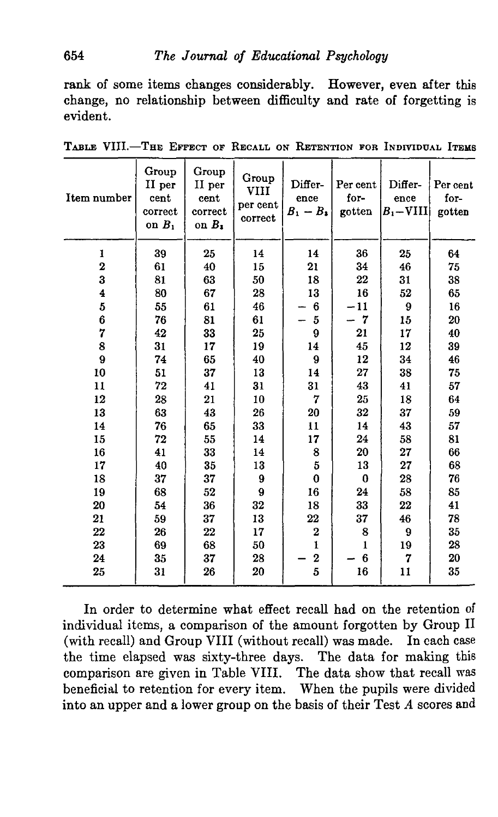rank of some items changes considerably. However, even after this change, no relationship between difficulty and rate of forgetting is evident.

| Item number | Group<br>II per<br>cent<br>correct<br>on $B_1$ | Group<br>II per<br>cent<br>correct<br>on $B_2$ | Group<br>VIII<br>per cent<br>correct | Differ-<br>ence<br>$B_1 - B_2$ | Per cent<br>for-<br>gotten | Differ-<br>ence<br>$B_1$ – VIII | Per cent<br>for-<br>gotten |
|-------------|------------------------------------------------|------------------------------------------------|--------------------------------------|--------------------------------|----------------------------|---------------------------------|----------------------------|
| 1           | 39                                             | 25                                             | 14                                   | 14                             | 36                         | 25                              | 64                         |
| $\mathbf 2$ | 61                                             | 40                                             | 15                                   | 21                             | 34                         | 46                              | 75                         |
| 3           | 81                                             | 63                                             | 50                                   | 18                             | $22\,$                     | 31                              | 38                         |
| 4           | 80                                             | 67                                             | 28                                   | 13                             | 16                         | 52                              | 65                         |
| 5           | 55                                             | 61                                             | 46                                   | 6                              | $-11$                      | 9                               | 16                         |
| 6           | 76                                             | 81                                             | 61                                   | $\overline{5}$                 | $\overline{7}$             | 15                              | 20                         |
| 7           | 42                                             | 33                                             | 25                                   | 9                              | 21                         | 17                              | 40                         |
| 8           | 31                                             | 17                                             | 19                                   | 14                             | 45                         | 12                              | 39                         |
| $\bf{9}$    | 74                                             | 65                                             | 40                                   | 9                              | 12                         | 34                              | 46                         |
| 10          | 51                                             | 37                                             | 13                                   | 14                             | 27                         | 38                              | 75                         |
| 11          | 72                                             | 41                                             | 31                                   | 31                             | 43                         | 41                              | 57                         |
| 12          | 28                                             | 21                                             | 10                                   | $\overline{7}$                 | 25                         | 18                              | 64                         |
| 13          | 63                                             | 43                                             | 26                                   | 20                             | 32                         | 37                              | 59                         |
| 14          | 76                                             | 65                                             | 33                                   | 11                             | 14                         | 43                              | 57                         |
| 15          | 72                                             | 55                                             | 14                                   | 17                             | 24                         | 58                              | 81                         |
| 16          | 41                                             | 33                                             | 14                                   | 8                              | 20                         | 27                              | 66                         |
| 17          | 40                                             | 35                                             | 13                                   | $\overline{\mathbf{5}}$        | 13                         | 27                              | 68                         |
| 18          | 37                                             | 37                                             | 9                                    | $\bf{0}$                       | $\bf{0}$                   | 28                              | 76                         |
| 19          | 68                                             | 52                                             | 9                                    | 16                             | 24                         | 58                              | 85                         |
| 20          | 54                                             | 36                                             | 32                                   | 18                             | 33                         | 22                              | 41                         |
| 21          | 59                                             | 37                                             | 13                                   | 22                             | 37                         | 46                              | 78                         |
| 22          | 26                                             | 22                                             | 17                                   | $\mathbf 2$                    | 8                          | 9                               | 35                         |
| 23          | 69                                             | 68                                             | 50                                   | $\mathbf{I}$                   | $\mathbf{1}$               | 19                              | 28                         |
| 24          | 35                                             | 37                                             | 28                                   | $\bf{2}$                       | 6                          | 7                               | 20                         |
| 25          | 31                                             | 26                                             | 20                                   | 5                              | 16                         | 11                              | 35                         |

TABLE VIII.—THE EFFECT OF RECALL ON RETENTION FOR INDIVIDUAL ITEMS

In order to determine what effect recall had on the retention of individual items, a comparison of the amount forgotten by Group II (with recall) and Group VIII (without recall) was made. In each case the time elapsed was sixty-three days. The data for making this comparison are given in Table VIII. The data show that recall was beneficial to retention for every item. When the pupils were divided into an upper and a lower group on the basis of their Test *A* scores and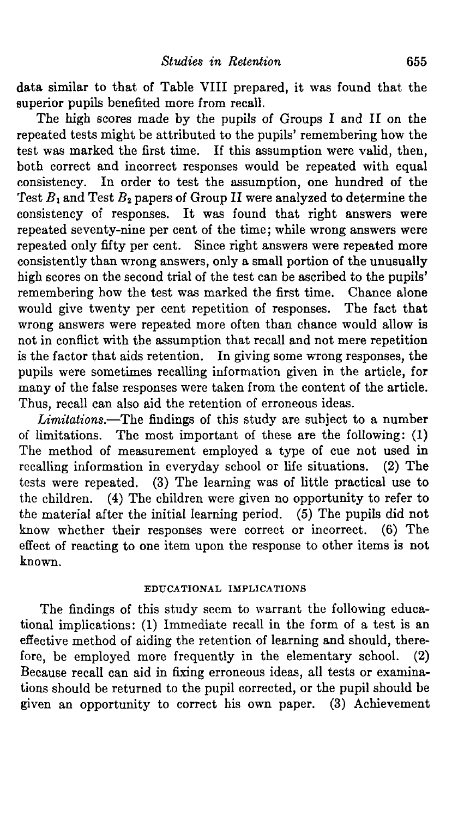data similar to that of Table VIII prepared, it was found that the superior pupils benefited more from recall.

The high scores made by the pupils of Groups I and II on the repeated tests might be attributed to the pupils' remembering how the test was marked the first time. If this assumption were valid, then, both correct and incorrect responses would be repeated with equal consistency. In order to test the assumption, one hundred of the Test  $B_1$  and Test  $B_2$  papers of Group II were analyzed to determine the consistency of responses. It was found that right answers were repeated seventy-nine per cent of the time; while wrong answers were repeated only fifty per cent. Since right answers were repeated more consistently than wrong answers, only a small portion of the unusually high scores on the second trial of the test can be ascribed to the pupils' remembering how the test was marked the first time. Chance alone would give twenty per cent repetition of responses. The fact that would give twenty per cent repetition of responses. wrong answers were repeated more often than chance would allow is not in conflict with the assumption that recall and not mere repetition is the factor that aids retention. In giving some wrong responses, the pupils were sometimes recalling information given in the article, for many of the false responses were taken from the content of the article. Thus, recall can also aid the retention of erroneous ideas.

*Limitations.*—The findings of this study are subject to a number of limitations. The most important of these are the following: (1) The method of measurement employed a type of cue not used in recalling information in everyday school or life situations. (2) The tests were repeated. (3) The learning was of little practical use to the children. (4) The children were given no opportunity to refer to the material after the initial learning period.  $(5)$  The pupils did not know whether their responses were correct or incorrect. (6) The effect of reacting to one item upon the response to other items is not known.

## EDUCATIONAL IMPLICATIONS

The findings of this study seem to warrant the following educational implications: (1) Immediate recall in the form of a test is an effective method of aiding the retention of learning and should, therefore, be employed more frequently in the elementary school. (2) Because recall can aid in fixing erroneous ideas, all tests or examinations should be returned to the pupil corrected, or the pupil should be given an opportunity to correct his own paper. (3) Achievement